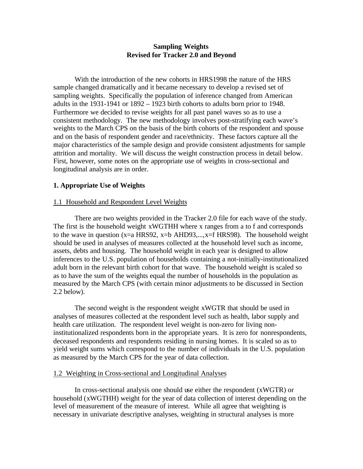# **Sampling Weights Revised for Tracker 2.0 and Beyond**

With the introduction of the new cohorts in HRS1998 the nature of the HRS sample changed dramatically and it became necessary to develop a revised set of sampling weights. Specifically the population of inference changed from American adults in the 1931-1941 or 1892 – 1923 birth cohorts to adults born prior to 1948. Furthermore we decided to revise weights for all past panel waves so as to use a consistent methodology. The new methodology involves post-stratifying each wave's weights to the March CPS on the basis of the birth cohorts of the respondent and spouse and on the basis of respondent gender and race/ethnicity. These factors capture all the major characteristics of the sample design and provide consistent adjustments for sample attrition and mortality. We will discuss the weight construction process in detail below. First, however, some notes on the appropriate use of weights in cross-sectional and longitudinal analysis are in order.

# **1. Appropriate Use of Weights**

# 1.1 Household and Respondent Level Weights

There are two weights provided in the Tracker 2.0 file for each wave of the study. The first is the household weight xWGTHH where x ranges from a to f and corresponds to the wave in question (x=a HRS92, x=b AHD93,...,x=f HRS98). The household weight should be used in analyses of measures collected at the household level such as income, assets, debts and housing. The household weight in each year is designed to allow inferences to the U.S. population of households containing a not-initially-institutionalized adult born in the relevant birth cohort for that wave. The household weight is scaled so as to have the sum of the weights equal the number of households in the population as measured by the March CPS (with certain minor adjustments to be discussed in Section 2.2 below).

The second weight is the respondent weight xWGTR that should be used in analyses of measures collected at the respondent level such as health, labor supply and health care utilization. The respondent level weight is non-zero for living noninstitutionalized respondents born in the appropriate years. It is zero for nonrespondents, deceased respondents and respondents residing in nursing homes. It is scaled so as to yield weight sums which correspond to the number of individuals in the U.S. population as measured by the March CPS for the year of data collection.

## 1.2 Weighting in Cross-sectional and Longitudinal Analyses

In cross-sectional analysis one should use either the respondent (xWGTR) or household (xWGTHH) weight for the year of data collection of interest depending on the level of measurement of the measure of interest. While all agree that weighting is necessary in univariate descriptive analyses, weighting in structural analyses is more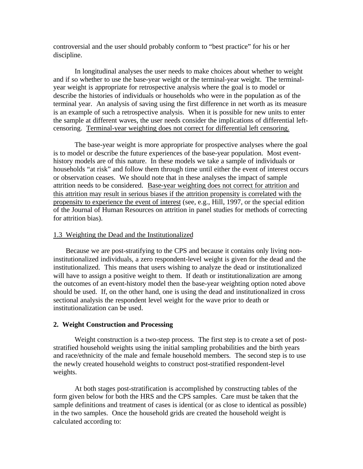controversial and the user should probably conform to "best practice" for his or her discipline.

In longitudinal analyses the user needs to make choices about whether to weight and if so whether to use the base-year weight or the terminal-year weight. The terminalyear weight is appropriate for retrospective analysis where the goal is to model or describe the histories of individuals or households who were in the population as of the terminal year. An analysis of saving using the first difference in net worth as its measure is an example of such a retrospective analysis. When it is possible for new units to enter the sample at different waves, the user needs consider the implications of differential leftcensoring. Terminal-year weighting does not correct for differential left censoring.

The base-year weight is more appropriate for prospective analyses where the goal is to model or describe the future experiences of the base-year population. Most eventhistory models are of this nature. In these models we take a sample of individuals or households "at risk" and follow them through time until either the event of interest occurs or observation ceases. We should note that in these analyses the impact of sample attrition needs to be considered. Base-year weighting does not correct for attrition and this attrition may result in serious biases if the attrition propensity is correlated with the propensity to experience the event of interest (see, e.g., Hill, 1997, or the special edition of the Journal of Human Resources on attrition in panel studies for methods of correcting for attrition bias).

## 1.3 Weighting the Dead and the Institutionalized

Because we are post-stratifying to the CPS and because it contains only living noninstitutionalized individuals, a zero respondent-level weight is given for the dead and the institutionalized. This means that users wishing to analyze the dead or institutionalized will have to assign a positive weight to them. If death or institutionalization are among the outcomes of an event-history model then the base-year weighting option noted above should be used. If, on the other hand, one is using the dead and institutionalized in cross sectional analysis the respondent level weight for the wave prior to death or institutionalization can be used.

# **2. Weight Construction and Processing**

Weight construction is a two-step process. The first step is to create a set of poststratified household weights using the initial sampling probabilities and the birth years and race/ethnicity of the male and female household members. The second step is to use the newly created household weights to construct post-stratified respondent-level weights.

At both stages post-stratification is accomplished by constructing tables of the form given below for both the HRS and the CPS samples. Care must be taken that the sample definitions and treatment of cases is identical (or as close to identical as possible) in the two samples. Once the household grids are created the household weight is calculated according to: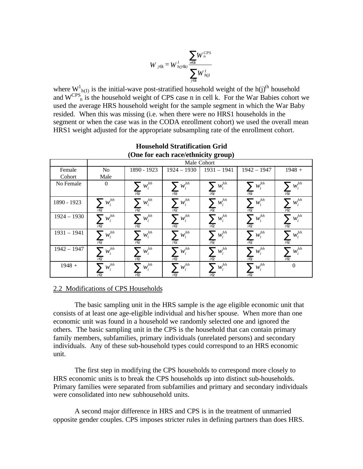$$
W_{j\in k} = W^l_{h(j\in k)} \frac{\displaystyle\sum_{n\in k} W^{CPS}_n}{\displaystyle\sum_{j\in k} W^l_{h(j)}}
$$

where  $W^1_{h(I)}$  is the initial-wave post-stratified household weight of the h(j)<sup>th</sup> household and  $W^{CPS}$ <sub>n</sub> is the household weight of CPS case n in cell k. For the War Babies cohort we used the average HRS household weight for the sample segment in which the War Baby resided. When this was missing (i.e. when there were no HRS1 households in the segment or when the case was in the CODA enrollment cohort) we used the overall mean HRS1 weight adjusted for the appropriate subsampling rate of the enrollment cohort.

| $(0.001)$ can race/eminitity group) |                                 |                                 |                                 |                                   |                              |                                   |  |  |  |  |
|-------------------------------------|---------------------------------|---------------------------------|---------------------------------|-----------------------------------|------------------------------|-----------------------------------|--|--|--|--|
|                                     | Male Cohort                     |                                 |                                 |                                   |                              |                                   |  |  |  |  |
| Female                              | No.                             | 1890 - 1923                     | $1924 - 1930$                   | $1931 - 1941$                     | $1942 - 1947$                | $1948 +$                          |  |  |  |  |
| Cohort                              | Male                            |                                 |                                 |                                   |                              |                                   |  |  |  |  |
| No Female                           | $\overline{0}$                  | $\sum w_i^{hh}$<br>$i \in c$    | $\sum_{i}w_i^{hh}$<br>$i \in c$ | $\sum_{}^{}W_i^{hh}$<br>$i \in c$ | $\sum w_i^{hh}$<br>$i \in c$ | $\sum_{}^{}W_i^{hh}$<br>$i \in c$ |  |  |  |  |
| 1890 - 1923                         | $\sum w_i^{hh}$<br>$i \in c$    | $\sum w_i^{hh}$<br>$i \in c$    | $\sum_{i}w_i^{hh}$<br>$i \in c$ | $\sum w_i^{hh}$<br>$i \in c$      | $\sum w_i^{hh}$<br>$i \in c$ | $\sum_{i}w_i^{hh}$<br>$i \in c$   |  |  |  |  |
| $1924 - 1930$                       | $\sum w_i^{hh}$<br>$i \in c$    | $\sum w_i^{hh}$<br>$i \in c$    | $\sum_{i}w_i^{hh}$<br>$i \in c$ | $\sum w_i^{hh}$<br>$i \in c$      | $\sum w_i^{hh}$<br>$i \in c$ | $\sum w_i^{hh}$<br>$i \in c$      |  |  |  |  |
| $1931 - 1941$                       | $\sum_{i}w_i^{hh}$<br>$i \in c$ | $\sum_{i}w_i^{hh}$<br>$i \in c$ | $\sum_{i}w_i^{hh}$<br>$i \in c$ | $\sum_{i}w_i^{hh}$<br>$i \in c$   | $\sum w_i^{hh}$<br>$i \in c$ | $\sum_{i}w_i^{hh}$<br>$i \in c$   |  |  |  |  |
| $1942 - 1947$                       | $\sum_{i}w_i^{hh}$<br>$i \in c$ | $\sum w_i^{hh}$<br>$i \in c$    | . $w_i^{hh}$<br>$i \in c$       | $\sum_{i}w_i^{hh}$<br>$i \in c$   | $\sum w_i^{hh}$<br>$i \in c$ | $\sum_{i}w_i^{hh}$<br>$i \in c$   |  |  |  |  |
| $1948 +$                            | $\sum w_i^{hh}$<br>$i \in c$    | $\sum w_i^{hh}$<br>$i \in c$    | $\sum_{i}w_i^{hh}$<br>$i \in c$ | $\sum_{i}w_i^{hh}$<br>$i \in c$   | $\sum w_i^{hh}$<br>$i \in c$ | $\Omega$                          |  |  |  |  |

## **Household Stratification Grid (One for each race/ethnicity group)**

# 2.2 Modifications of CPS Households

The basic sampling unit in the HRS sample is the age eligible economic unit that consists of at least one age-eligible individual and his/her spouse. When more than one economic unit was found in a household we randomly selected one and ignored the others. The basic sampling unit in the CPS is the household that can contain primary family members, subfamilies, primary individuals (unrelated persons) and secondary individuals. Any of these sub-household types could correspond to an HRS economic unit.

The first step in modifying the CPS households to correspond more closely to HRS economic units is to break the CPS households up into distinct sub-households. Primary families were separated from subfamilies and primary and secondary individuals were consolidated into new subhousehold units.

A second major difference in HRS and CPS is in the treatment of unmarried opposite gender couples. CPS imposes stricter rules in defining partners than does HRS.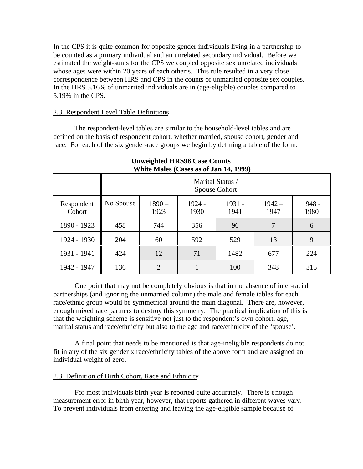In the CPS it is quite common for opposite gender individuals living in a partnership to be counted as a primary individual and an unrelated secondary individual. Before we estimated the weight-sums for the CPS we coupled opposite sex unrelated individuals whose ages were within 20 years of each other's. This rule resulted in a very close correspondence between HRS and CPS in the counts of unmarried opposite sex couples. In the HRS 5.16% of unmarried individuals are in (age-eligible) couples compared to 5.19% in the CPS.

# 2.3 Respondent Level Table Definitions

The respondent-level tables are similar to the household-level tables and are defined on the basis of respondent cohort, whether married, spouse cohort, gender and race. For each of the six gender-race groups we begin by defining a table of the form:

| WHILE Males (Cases as 01 Jan 14, 1999) |                                   |                  |                  |                  |                  |                  |  |  |  |  |  |
|----------------------------------------|-----------------------------------|------------------|------------------|------------------|------------------|------------------|--|--|--|--|--|
|                                        | Marital Status /<br>Spouse Cohort |                  |                  |                  |                  |                  |  |  |  |  |  |
| Respondent<br>Cohort                   | No Spouse                         | $1890 -$<br>1923 | $1924 -$<br>1930 | $1931 -$<br>1941 | $1942 -$<br>1947 | $1948 -$<br>1980 |  |  |  |  |  |
| 1890 - 1923                            | 458                               | 744              | 356              | 96               | 7                | 6                |  |  |  |  |  |
| 1924 - 1930                            | 204                               | 60               | 592              | 529              | 13               | 9                |  |  |  |  |  |
| 1931 - 1941                            | 424                               | 12               | 71               | 1482             | 677              | 224              |  |  |  |  |  |
| 1942 - 1947                            | 136                               | $\overline{2}$   |                  | 100              | 348              | 315              |  |  |  |  |  |

#### **Unweighted HRS98 Case Counts White Males (Cases as of Jan 14, 1999)**

One point that may not be completely obvious is that in the absence of inter-racial partnerships (and ignoring the unmarried column) the male and female tables for each race/ethnic group would be symmetrical around the main diagonal. There are, however, enough mixed race partners to destroy this symmetry. The practical implication of this is that the weighting scheme is sensitive not just to the respondent's own cohort, age, marital status and race/ethnicity but also to the age and race/ethnicity of the 'spouse'.

A final point that needs to be mentioned is that age-ineligible respondents do not fit in any of the six gender x race/ethnicity tables of the above form and are assigned an individual weight of zero.

# 2.3 Definition of Birth Cohort, Race and Ethnicity

For most individuals birth year is reported quite accurately. There is enough measurement error in birth year, however, that reports gathered in different waves vary. To prevent individuals from entering and leaving the age-eligible sample because of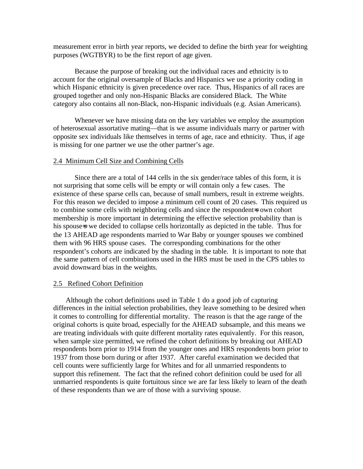measurement error in birth year reports, we decided to define the birth year for weighting purposes (WGTBYR) to be the first report of age given.

Because the purpose of breaking out the individual races and ethnicity is to account for the original oversample of Blacks and Hispanics we use a priority coding in which Hispanic ethnicity is given precedence over race. Thus, Hispanics of all races are grouped together and only non-Hispanic Blacks are considered Black. The White category also contains all non-Black, non-Hispanic individuals (e.g. Asian Americans).

Whenever we have missing data on the key variables we employ the assumption of heterosexual assortative mating—that is we assume individuals marry or partner with opposite sex individuals like themselves in terms of age, race and ethnicity. Thus, if age is missing for one partner we use the other partner's age.

#### 2.4 Minimum Cell Size and Combining Cells

Since there are a total of 144 cells in the six gender/race tables of this form, it is not surprising that some cells will be empty or will contain only a few cases. The existence of these sparse cells can, because of small numbers, result in extreme weights. For this reason we decided to impose a minimum cell count of 20 cases. This required us to combine some cells with neighboring cells and since the respondent=s own cohort membership is more important in determining the effective selection probability than is his spouse-s we decided to collapse cells horizontally as depicted in the table. Thus for the 13 AHEAD age respondents married to War Baby or younger spouses we combined them with 96 HRS spouse cases. The corresponding combinations for the other respondent's cohorts are indicated by the shading in the table. It is important to note that the same pattern of cell combinations used in the HRS must be used in the CPS tables to avoid downward bias in the weights.

#### 2.5 Refined Cohort Definition

Although the cohort definitions used in Table 1 do a good job of capturing differences in the initial selection probabilities, they leave something to be desired when it comes to controlling for differential mortality. The reason is that the age range of the original cohorts is quite broad, especially for the AHEAD subsample, and this means we are treating individuals with quite different mortality rates equivalently. For this reason, when sample size permitted, we refined the cohort definitions by breaking out AHEAD respondents born prior to 1914 from the younger ones and HRS respondents born prior to 1937 from those born during or after 1937. After careful examination we decided that cell counts were sufficiently large for Whites and for all unmarried respondents to support this refinement. The fact that the refined cohort definition could be used for all unmarried respondents is quite fortuitous since we are far less likely to learn of the death of these respondents than we are of those with a surviving spouse.